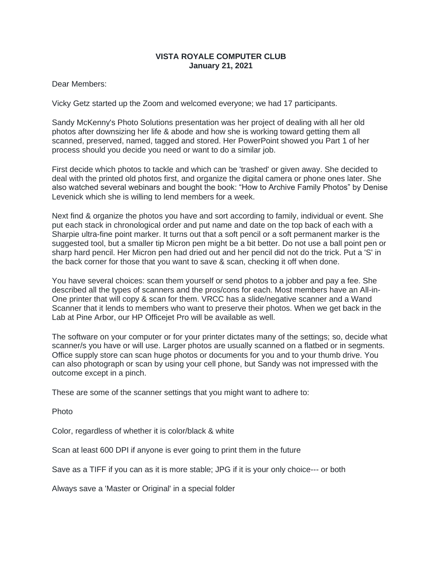## **VISTA ROYALE COMPUTER CLUB January 21, 2021**

Dear Members:

Vicky Getz started up the Zoom and welcomed everyone; we had 17 participants.

Sandy McKenny's Photo Solutions presentation was her project of dealing with all her old photos after downsizing her life & abode and how she is working toward getting them all scanned, preserved, named, tagged and stored. Her PowerPoint showed you Part 1 of her process should you decide you need or want to do a similar job.

First decide which photos to tackle and which can be 'trashed' or given away. She decided to deal with the printed old photos first, and organize the digital camera or phone ones later. She also watched several webinars and bought the book: "How to Archive Family Photos" by Denise Levenick which she is willing to lend members for a week.

Next find & organize the photos you have and sort according to family, individual or event. She put each stack in chronological order and put name and date on the top back of each with a Sharpie ultra-fine point marker. It turns out that a soft pencil or a soft permanent marker is the suggested tool, but a smaller tip Micron pen might be a bit better. Do not use a ball point pen or sharp hard pencil. Her Micron pen had dried out and her pencil did not do the trick. Put a 'S' in the back corner for those that you want to save & scan, checking it off when done.

You have several choices: scan them yourself or send photos to a jobber and pay a fee. She described all the types of scanners and the pros/cons for each. Most members have an All-in-One printer that will copy & scan for them. VRCC has a slide/negative scanner and a Wand Scanner that it lends to members who want to preserve their photos. When we get back in the Lab at Pine Arbor, our HP Officejet Pro will be available as well.

The software on your computer or for your printer dictates many of the settings; so, decide what scanner/s you have or will use. Larger photos are usually scanned on a flatbed or in segments. Office supply store can scan huge photos or documents for you and to your thumb drive. You can also photograph or scan by using your cell phone, but Sandy was not impressed with the outcome except in a pinch.

These are some of the scanner settings that you might want to adhere to:

Photo

Color, regardless of whether it is color/black & white

Scan at least 600 DPI if anyone is ever going to print them in the future

Save as a TIFF if you can as it is more stable; JPG if it is your only choice--- or both

Always save a 'Master or Original' in a special folder